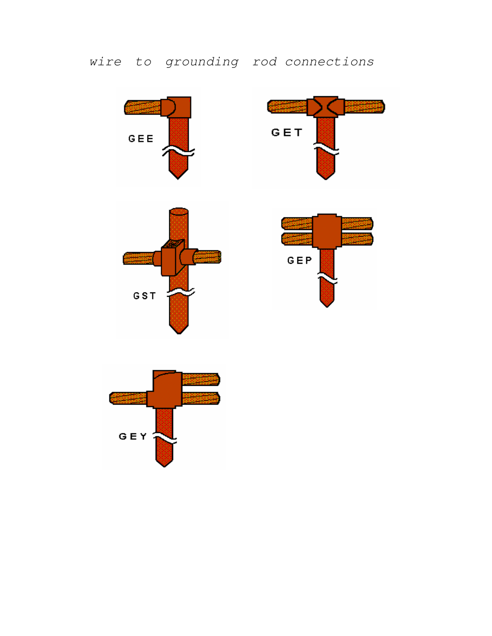## wire to grounding rod connections









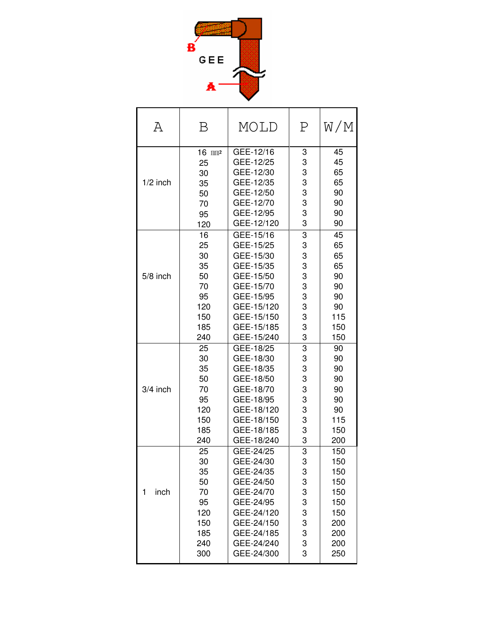

| Α          | Β                                                                   | MOLD                                                                                                                                             | Ρ                                                   | W/M                                                                       |
|------------|---------------------------------------------------------------------|--------------------------------------------------------------------------------------------------------------------------------------------------|-----------------------------------------------------|---------------------------------------------------------------------------|
| $1/2$ inch | $16$ mm <sub>2</sub>                                                | GEE-12/16                                                                                                                                        | 3                                                   | 45                                                                        |
|            | 25                                                                  | GEE-12/25                                                                                                                                        | 3                                                   | 45                                                                        |
|            | 30                                                                  | GEE-12/30                                                                                                                                        | 3                                                   | 65                                                                        |
|            | 35                                                                  | GEE-12/35                                                                                                                                        | 3                                                   | 65                                                                        |
|            | 50                                                                  | GEE-12/50                                                                                                                                        | 3                                                   | 90                                                                        |
|            | 70                                                                  | GEE-12/70                                                                                                                                        | 3                                                   | 90                                                                        |
|            | 95                                                                  | GEE-12/95                                                                                                                                        | 3                                                   | 90                                                                        |
|            | 120                                                                 | GEE-12/120                                                                                                                                       | 3                                                   | 90                                                                        |
| 5/8 inch   | 16                                                                  | GEE-15/16                                                                                                                                        | 3                                                   | 45                                                                        |
|            | 25                                                                  | GEE-15/25                                                                                                                                        | 3                                                   | 65                                                                        |
|            | 30                                                                  | GEE-15/30                                                                                                                                        | 3                                                   | 65                                                                        |
|            | 35                                                                  | GEE-15/35                                                                                                                                        | 3                                                   | 65                                                                        |
|            | 50                                                                  | GEE-15/50                                                                                                                                        | 3                                                   | 90                                                                        |
|            | 70                                                                  | GEE-15/70                                                                                                                                        | 3                                                   | 90                                                                        |
|            | 95                                                                  | GEE-15/95                                                                                                                                        | 3                                                   | 90                                                                        |
|            | 120                                                                 | GEE-15/120                                                                                                                                       | 3                                                   | 90                                                                        |
|            | 150                                                                 | GEE-15/150                                                                                                                                       | 3                                                   | 115                                                                       |
|            | 185                                                                 | GEE-15/185                                                                                                                                       | 3                                                   | 150                                                                       |
|            | 240                                                                 | GEE-15/240                                                                                                                                       | 3                                                   | 150                                                                       |
| 3/4 inch   | 25                                                                  | GEE-18/25                                                                                                                                        | $\overline{3}$                                      | 90                                                                        |
|            | 30                                                                  | GEE-18/30                                                                                                                                        | 3                                                   | 90                                                                        |
|            | 35                                                                  | GEE-18/35                                                                                                                                        | 3                                                   | 90                                                                        |
|            | 50                                                                  | GEE-18/50                                                                                                                                        | 3                                                   | 90                                                                        |
|            | 70                                                                  | GEE-18/70                                                                                                                                        | 3                                                   | 90                                                                        |
|            | 95                                                                  | GEE-18/95                                                                                                                                        | 3                                                   | 90                                                                        |
|            | 120                                                                 | GEE-18/120                                                                                                                                       | 3                                                   | 90                                                                        |
|            | 150                                                                 | GEE-18/150                                                                                                                                       | 3                                                   | 115                                                                       |
|            | 185                                                                 | GEE-18/185                                                                                                                                       | 3                                                   | 150                                                                       |
|            | 240                                                                 | GEE-18/240                                                                                                                                       | 3                                                   | 200                                                                       |
| 1<br>inch  | 25<br>30<br>35<br>50<br>70<br>95<br>120<br>150<br>185<br>240<br>300 | GEE-24/25<br>GEE-24/30<br>GEE-24/35<br>GEE-24/50<br>GEE-24/70<br>GEE-24/95<br>GEE-24/120<br>GEE-24/150<br>GEE-24/185<br>GEE-24/240<br>GEE-24/300 | 3<br>3<br>3<br>3<br>3<br>3<br>3<br>3<br>3<br>3<br>3 | 150<br>150<br>150<br>150<br>150<br>150<br>150<br>200<br>200<br>200<br>250 |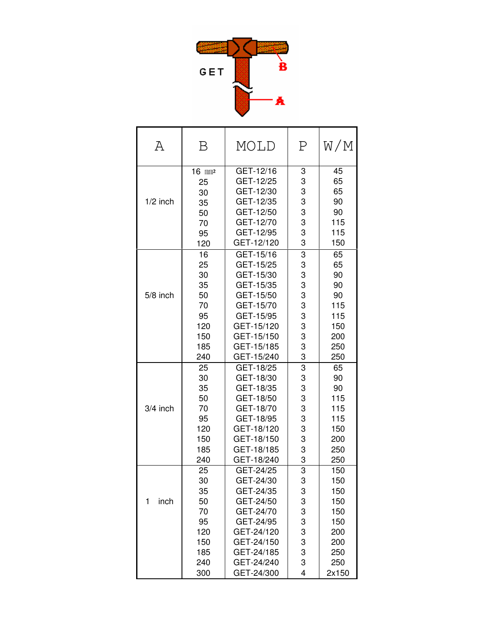

| Α          | Β                                                                   | MOLD                                                                                                                                             | Ρ                                                   | W/M                                                                         |
|------------|---------------------------------------------------------------------|--------------------------------------------------------------------------------------------------------------------------------------------------|-----------------------------------------------------|-----------------------------------------------------------------------------|
| $1/2$ inch | $16$ mm <sup>2</sup>                                                | GET-12/16                                                                                                                                        | 3                                                   | 45                                                                          |
|            | 25                                                                  | GET-12/25                                                                                                                                        | 3                                                   | 65                                                                          |
|            | 30                                                                  | GET-12/30                                                                                                                                        | 3                                                   | 65                                                                          |
|            | 35                                                                  | GET-12/35                                                                                                                                        | 3                                                   | 90                                                                          |
|            | 50                                                                  | GET-12/50                                                                                                                                        | 3                                                   | 90                                                                          |
|            | 70                                                                  | GET-12/70                                                                                                                                        | 3                                                   | 115                                                                         |
|            | 95                                                                  | GET-12/95                                                                                                                                        | 3                                                   | 115                                                                         |
|            | 120                                                                 | GET-12/120                                                                                                                                       | 3                                                   | 150                                                                         |
| $5/8$ inch | 16                                                                  | GET-15/16                                                                                                                                        | 3                                                   | 65                                                                          |
|            | 25                                                                  | GET-15/25                                                                                                                                        | 3                                                   | 65                                                                          |
|            | 30                                                                  | GET-15/30                                                                                                                                        | 3                                                   | 90                                                                          |
|            | 35                                                                  | GET-15/35                                                                                                                                        | 3                                                   | 90                                                                          |
|            | 50                                                                  | GET-15/50                                                                                                                                        | 3                                                   | 90                                                                          |
|            | 70                                                                  | GET-15/70                                                                                                                                        | 3                                                   | 115                                                                         |
|            | 95                                                                  | GET-15/95                                                                                                                                        | 3                                                   | 115                                                                         |
|            | 120                                                                 | GET-15/120                                                                                                                                       | 3                                                   | 150                                                                         |
|            | 150                                                                 | GET-15/150                                                                                                                                       | 3                                                   | 200                                                                         |
|            | 185                                                                 | GET-15/185                                                                                                                                       | 3                                                   | 250                                                                         |
|            | 240                                                                 | GET-15/240                                                                                                                                       | 3                                                   | 250                                                                         |
| $3/4$ inch | 25                                                                  | GET-18/25                                                                                                                                        | 3                                                   | 65                                                                          |
|            | 30                                                                  | GET-18/30                                                                                                                                        | 3                                                   | 90                                                                          |
|            | 35                                                                  | GET-18/35                                                                                                                                        | 3                                                   | 90                                                                          |
|            | 50                                                                  | GET-18/50                                                                                                                                        | 3                                                   | 115                                                                         |
|            | 70                                                                  | GET-18/70                                                                                                                                        | 3                                                   | 115                                                                         |
|            | 95                                                                  | GET-18/95                                                                                                                                        | 3                                                   | 115                                                                         |
|            | 120                                                                 | GET-18/120                                                                                                                                       | 3                                                   | 150                                                                         |
|            | 150                                                                 | GET-18/150                                                                                                                                       | 3                                                   | 200                                                                         |
|            | 185                                                                 | GET-18/185                                                                                                                                       | 3                                                   | 250                                                                         |
|            | 240                                                                 | GET-18/240                                                                                                                                       | 3                                                   | 250                                                                         |
| 1<br>inch  | 25<br>30<br>35<br>50<br>70<br>95<br>120<br>150<br>185<br>240<br>300 | GET-24/25<br>GET-24/30<br>GET-24/35<br>GET-24/50<br>GET-24/70<br>GET-24/95<br>GET-24/120<br>GET-24/150<br>GET-24/185<br>GET-24/240<br>GET-24/300 | 3<br>3<br>3<br>3<br>3<br>3<br>3<br>3<br>3<br>3<br>4 | 150<br>150<br>150<br>150<br>150<br>150<br>200<br>200<br>250<br>250<br>2x150 |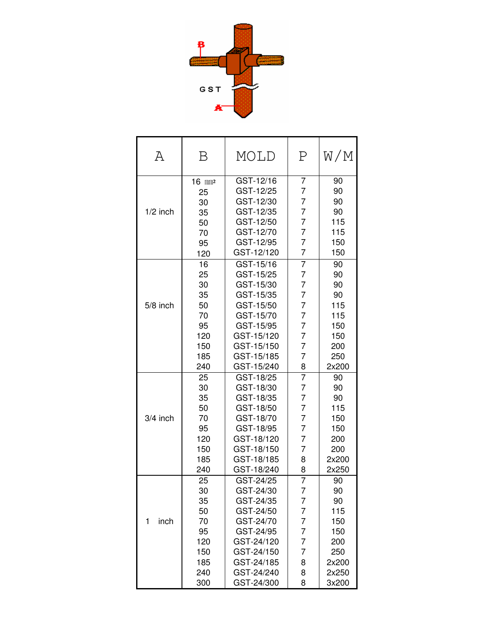

| Α          | Β                  | MOLD       | Ρ              | W/M   |
|------------|--------------------|------------|----------------|-------|
|            | 16 mm <sup>2</sup> | GST-12/16  | 7              | 90    |
|            | 25                 | GST-12/25  | $\overline{7}$ | 90    |
|            | 30                 | GST-12/30  | 7              | 90    |
| $1/2$ inch | 35                 | GST-12/35  | 7              | 90    |
|            | 50                 | GST-12/50  | 7              | 115   |
|            | 70                 | GST-12/70  | 7              | 115   |
|            | 95                 | GST-12/95  | 7              | 150   |
|            | 120                | GST-12/120 | $\overline{7}$ | 150   |
|            | 16                 | GST-15/16  | $\overline{7}$ | 90    |
|            | 25                 | GST-15/25  | 7              | 90    |
|            | 30                 | GST-15/30  | 7              | 90    |
|            | 35                 | GST-15/35  | 7              | 90    |
| $5/8$ inch | 50                 | GST-15/50  | 7              | 115   |
|            | 70                 | GST-15/70  | 7              | 115   |
|            | 95                 | GST-15/95  | 7              | 150   |
|            | 120                | GST-15/120 | $\overline{7}$ | 150   |
|            | 150                | GST-15/150 | 7              | 200   |
|            | 185                | GST-15/185 | $\overline{7}$ | 250   |
|            | 240                | GST-15/240 | 8              | 2x200 |
|            | 25                 | GST-18/25  | $\overline{7}$ | 90    |
|            | 30                 | GST-18/30  | 7              | 90    |
|            | 35                 | GST-18/35  | 7              | 90    |
|            | 50                 | GST-18/50  | $\overline{7}$ | 115   |
| 3/4 inch   | 70                 | GST-18/70  | 7              | 150   |
|            | 95                 | GST-18/95  | 7              | 150   |
|            | 120                | GST-18/120 | 7              | 200   |
|            | 150                | GST-18/150 | 7              | 200   |
|            | 185                | GST-18/185 | 8              | 2x200 |
|            | 240                | GST-18/240 | 8              | 2x250 |
|            | 25                 | GST-24/25  | 7              | 90    |
|            | 30                 | GST-24/30  | 7              | 90    |
|            | 35                 | GST-24/35  | 7              | 90    |
|            | 50                 | GST-24/50  | 7              | 115   |
| 1<br>inch  | 70                 | GST-24/70  | 7              | 150   |
|            | 95                 | GST-24/95  | 7              | 150   |
|            | 120                | GST-24/120 | 7              | 200   |
|            | 150                | GST-24/150 | 7              | 250   |
|            | 185                | GST-24/185 | 8              | 2x200 |
|            | 240                | GST-24/240 | 8              | 2x250 |
|            | 300                | GST-24/300 | 8              | 3x200 |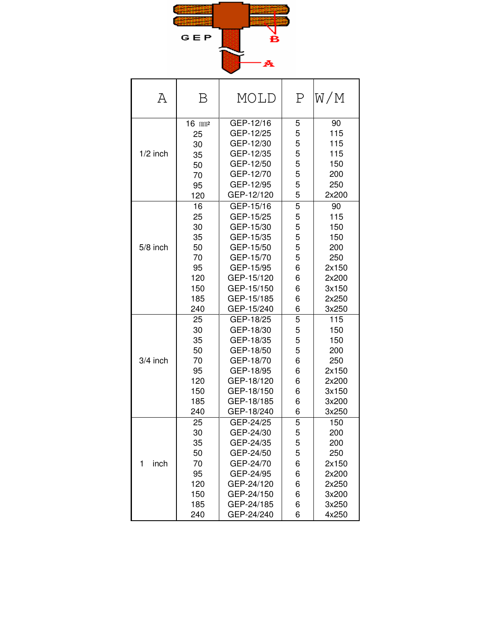

| Α          | Β                    | MOLD       | Ρ | W/M   |
|------------|----------------------|------------|---|-------|
|            | $16$ mm <sup>2</sup> | GEP-12/16  | 5 | 90    |
|            | 25                   | GEP-12/25  | 5 | 115   |
|            | 30                   | GEP-12/30  | 5 | 115   |
| $1/2$ inch | 35                   | GEP-12/35  | 5 | 115   |
|            | 50                   | GEP-12/50  | 5 | 150   |
|            | 70                   | GEP-12/70  | 5 | 200   |
|            | 95                   | GEP-12/95  | 5 | 250   |
|            | 120                  | GEP-12/120 | 5 | 2x200 |
|            | 16                   | GEP-15/16  | 5 | 90    |
|            | 25                   | GEP-15/25  | 5 | 115   |
|            | 30                   | GEP-15/30  | 5 | 150   |
|            | 35                   | GEP-15/35  | 5 | 150   |
| 5/8 inch   | 50                   | GEP-15/50  | 5 | 200   |
|            | 70                   | GEP-15/70  | 5 | 250   |
|            | 95                   | GEP-15/95  | 6 | 2x150 |
|            | 120                  | GEP-15/120 | 6 | 2x200 |
|            | 150                  | GEP-15/150 | 6 | 3x150 |
|            | 185                  | GEP-15/185 | 6 | 2x250 |
|            | 240                  | GEP-15/240 | 6 | 3x250 |
|            | 25                   | GEP-18/25  | 5 | 115   |
|            | 30                   | GEP-18/30  | 5 | 150   |
|            | 35                   | GEP-18/35  | 5 | 150   |
|            | 50                   | GEP-18/50  | 5 | 200   |
| 3/4 inch   | 70                   | GEP-18/70  | 6 | 250   |
|            | 95                   | GEP-18/95  | 6 | 2x150 |
|            | 120                  | GEP-18/120 | 6 | 2x200 |
|            | 150                  | GEP-18/150 | 6 | 3x150 |
|            | 185                  | GEP-18/185 | 6 | 3x200 |
|            | 240                  | GEP-18/240 | 6 | 3x250 |
|            | 25                   | GEP-24/25  | 5 | 150   |
|            | 30                   | GEP-24/30  | 5 | 200   |
|            | 35                   | GEP-24/35  | 5 | 200   |
|            | 50                   | GEP-24/50  | 5 | 250   |
| 1<br>inch  | 70                   | GEP-24/70  | 6 | 2x150 |
|            | 95                   | GEP-24/95  | 6 | 2x200 |
|            | 120                  | GEP-24/120 | 6 | 2x250 |
|            | 150                  | GEP-24/150 | 6 | 3x200 |
|            | 185                  | GEP-24/185 | 6 | 3x250 |
|            | 240                  | GEP-24/240 | 6 | 4x250 |